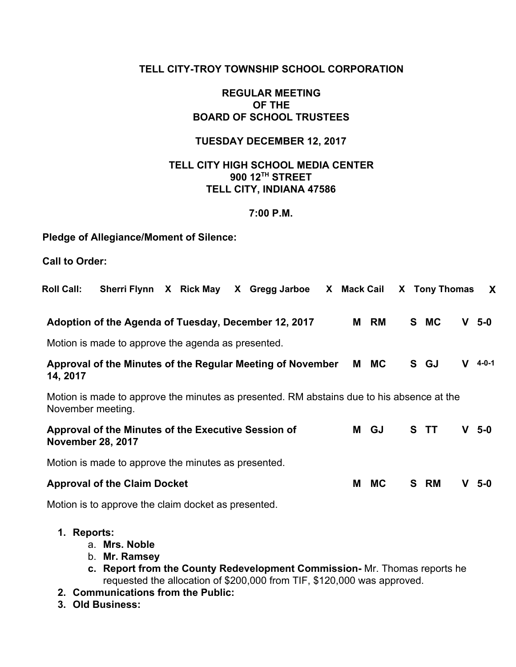# **TELL CITY-TROY TOWNSHIP SCHOOL CORPORATION**

## **REGULAR MEETING OF THE BOARD OF SCHOOL TRUSTEES**

#### **TUESDAY DECEMBER 12, 2017**

## **TELL CITY HIGH SCHOOL MEDIA CENTER 900 12 TH STREET TELL CITY, INDIANA 47586**

#### **7:00 P.M.**

## **Pledge of Allegiance/Moment of Silence:**

**Call to Order:**

| <b>Roll Call:</b> |                                                                                 |  | Sherri Flynn X Rick May X Gregg Jarboe X Mack Cail                                        |   |           | X Tony Thomas |    | $\mathbf x$ |
|-------------------|---------------------------------------------------------------------------------|--|-------------------------------------------------------------------------------------------|---|-----------|---------------|----|-------------|
|                   |                                                                                 |  | Adoption of the Agenda of Tuesday, December 12, 2017                                      |   | M RM      | S MC          | V. | $5-0$       |
|                   | Motion is made to approve the agenda as presented.                              |  |                                                                                           |   |           |               |    |             |
| 14, 2017          |                                                                                 |  | Approval of the Minutes of the Regular Meeting of November                                |   | M MC      | S GJ          | v  | $4 - 0 - 1$ |
|                   | November meeting.                                                               |  | Motion is made to approve the minutes as presented. RM abstains due to his absence at the |   |           |               |    |             |
|                   | Approval of the Minutes of the Executive Session of<br><b>November 28, 2017</b> |  |                                                                                           |   | M GJ      | S.<br>- TT    | v. | $5-0$       |
|                   | Motion is made to approve the minutes as presented.                             |  |                                                                                           |   |           |               |    |             |
|                   | <b>Approval of the Claim Docket</b>                                             |  |                                                                                           | М | <b>MC</b> | S RM          | v  | $5-0$       |
|                   | Motion is to approve the claim docket as presented.                             |  |                                                                                           |   |           |               |    |             |
| 1. Reports:       | a. Mrs. Noble<br>b. Mr. Ramsey                                                  |  |                                                                                           |   |           |               |    |             |

- **c. Report from the County Redevelopment Commission-** Mr. Thomas reports he requested the allocation of \$200,000 from TIF, \$120,000 was approved.
- **2. Communications from the Public:**
- **3. Old Business:**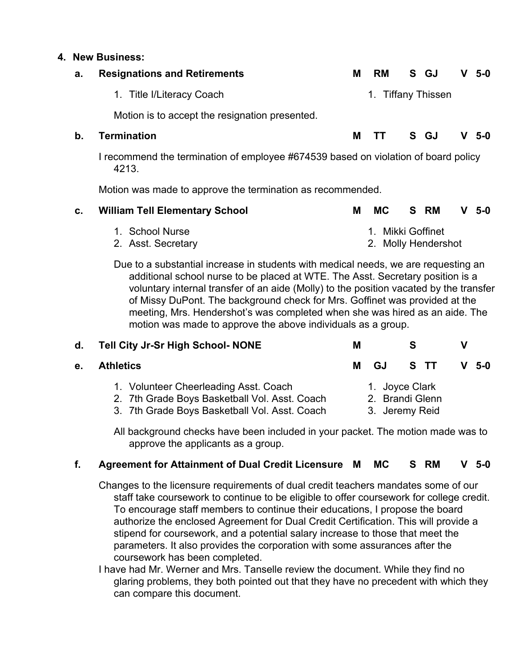#### **4. New Business:**

| а. | <b>Resignations and Retirements</b>                                                       | М                  | <b>RM</b> |  | S GJ |  | 5-0   |  |  |
|----|-------------------------------------------------------------------------------------------|--------------------|-----------|--|------|--|-------|--|--|
|    | 1. Title I/Literacy Coach                                                                 | 1. Tiffany Thissen |           |  |      |  |       |  |  |
|    | Motion is to accept the resignation presented.                                            |                    |           |  |      |  |       |  |  |
| b. | <b>Termination</b>                                                                        | м                  | TT        |  | S GJ |  | - 5-0 |  |  |
|    | recommend the termination of employee #674539 based on violation of board policy<br>4213. |                    |           |  |      |  |       |  |  |
|    |                                                                                           |                    |           |  |      |  |       |  |  |

Motion was made to approve the termination as recommended.

| C. | <b>William Tell Elementary School</b> | S RM<br>$V5-0$<br>MC. |
|----|---------------------------------------|-----------------------|
|    | 1. School Nurse                       | 1. Mikki Goffinet     |
|    | 2. Asst. Secretary                    | 2. Molly Hendershot   |

Due to a substantial increase in students with medical needs, we are requesting an additional school nurse to be placed at WTE. The Asst. Secretary position is a voluntary internal transfer of an aide (Molly) to the position vacated by the transfer of Missy DuPont. The background check for Mrs. Goffinet was provided at the meeting, Mrs. Hendershot's was completed when she was hired as an aide. The motion was made to approve the above individuals as a group.

|    | d. Tell City Jr-Sr High School- NONE                                                                                                    | M         |                                                     |         |
|----|-----------------------------------------------------------------------------------------------------------------------------------------|-----------|-----------------------------------------------------|---------|
| е. | <b>Athletics</b>                                                                                                                        | - GJ<br>м | S TT                                                | $V$ 5-0 |
|    | 1. Volunteer Cheerleading Asst. Coach<br>2. 7th Grade Boys Basketball Vol. Asst. Coach<br>3. 7th Grade Boys Basketball Vol. Asst. Coach |           | 1. Joyce Clark<br>2. Brandi Glenn<br>3. Jeremy Reid |         |

All background checks have been included in your packet. The motion made was to approve the applicants as a group.

# **f. Agreement for Attainment of Dual Credit Licensure M MC S RM V 5-0**

Changes to the licensure requirements of dual credit teachers mandates some of our staff take coursework to continue to be eligible to offer coursework for college credit. To encourage staff members to continue their educations, I propose the board authorize the enclosed Agreement for Dual Credit Certification. This will provide a stipend for coursework, and a potential salary increase to those that meet the parameters. It also provides the corporation with some assurances after the coursework has been completed.

I have had Mr. Werner and Mrs. Tanselle review the document. While they find no glaring problems, they both pointed out that they have no precedent with which they can compare this document.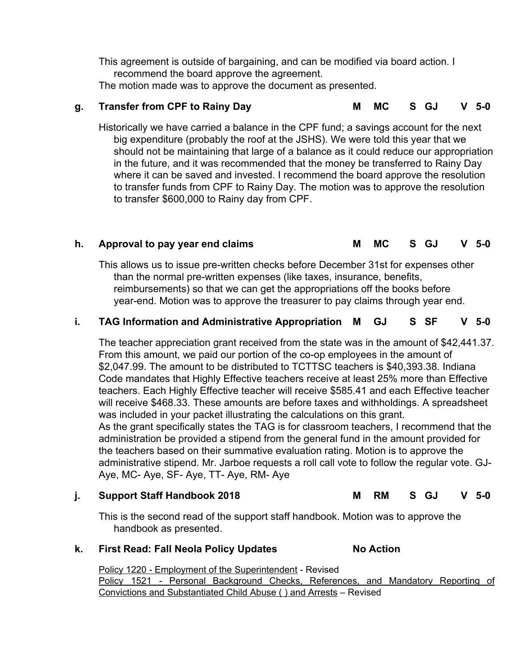This agreement is outside of bargaining, and can be modified via board action. I recommend the board approve the agreement. The motion made was to approve the document as presented.

# **g. Transfer from CPF to Rainy Day M MC S GJ V 5-0**

Historically we have carried a balance in the CPF fund; a savings account for the next big expenditure (probably the roof at the JSHS). We were told this year that we should not be maintaining that large of a balance as it could reduce our appropriation in the future, and it was recommended that the money be transferred to Rainy Day where it can be saved and invested. I recommend the board approve the resolution to transfer funds from CPF to Rainy Day. The motion was to approve the resolution to transfer \$600,000 to Rainy day from CPF.

# **h. Approval to pay year end claims M MC S GJ V 5-0**

This allows us to issue pre-written checks before December 31st for expenses other than the normal pre-written expenses (like taxes, insurance, benefits, reimbursements) so that we can get the appropriations off the books before year-end. Motion was to approve the treasurer to pay claims through year end.

## **i. TAG Information and Administrative Appropriation M GJ S SF V 5-0**

The teacher appreciation grant received from the state was in the amount of \$42,441.37. From this amount, we paid our portion of the co-op employees in the amount of \$2,047.99. The amount to be distributed to TCTTSC teachers is \$40,393.38. Indiana Code mandates that Highly Effective teachers receive at least 25% more than Effective teachers. Each Highly Effective teacher will receive \$585.41 and each Effective teacher will receive \$468.33. These amounts are before taxes and withholdings. A spreadsheet was included in your packet illustrating the calculations on this grant. As the grant specifically states the TAG is for classroom teachers, I recommend that the administration be provided a stipend from the general fund in the amount provided for the teachers based on their summative evaluation rating. Motion is to approve the

administrative stipend. Mr. Jarboe requests a roll call vote to follow the regular vote. GJ-Aye, MC- Aye, SF- Aye, TT- Aye, RM- Aye

#### **j. Support Staff Handbook 2018 M RM S GJ V 5-0**

This is the second read of the support staff handbook. Motion was to approve the handbook as presented.

#### **k. First Read: Fall Neola Policy Updates No Action**

Policy 1220 - Employment of the Superintendent - Revised Policy 1521 - Personal Background Checks, References, and Mandatory Reporting of Convictions and Substantiated Child Abuse ( ) and Arrests – Revised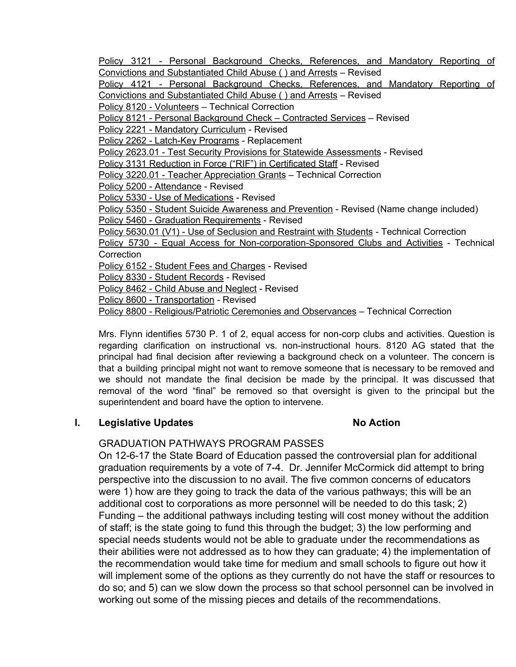Policy 3121 - Personal Background Checks, References, and Mandatory Reporting of Convictions and Substantiated Child Abuse ( ) and Arrests – Revised

Policy 4121 - Personal Background Checks, References, and Mandatory Reporting of Convictions and Substantiated Child Abuse ( ) and Arrests – Revised

Policy 8120 - Volunteers – Technical Correction

Policy 8121 - Personal Background Check – Contracted Services – Revised

Policy 2221 - Mandatory Curriculum - Revised

Policy 2262 - Latch-Key Programs - Replacement

Policy 2623.01 - Test Security Provisions for Statewide Assessments - Revised

Policy 3131 Reduction in Force ("RIF") in Certificated Staff - Revised

Policy 3220.01 - Teacher Appreciation Grants – Technical Correction

Policy 5200 - Attendance - Revised

Policy 5330 - Use of Medications - Revised

Policy 5350 - Student Suicide Awareness and Prevention - Revised (Name change included)

Policy 5460 - Graduation Requirements - Revised

Policy 5630.01 (V1) - Use of Seclusion and Restraint with Students - Technical Correction

Policy 5730 - Equal Access for Non-corporation-Sponsored Clubs and Activities - Technical **Correction** 

Policy 6152 - Student Fees and Charges - Revised

Policy 8330 - Student Records - Revised

Policy 8462 - Child Abuse and Neglect - Revised

Policy 8600 - Transportation - Revised

Policy 8800 - Religious/Patriotic Ceremonies and Observances – Technical Correction

Mrs. Flynn identifies 5730 P. 1 of 2, equal access for non-corp clubs and activities. Question is regarding clarification on instructional vs. non-instructional hours. 8120 AG stated that the principal had final decision after reviewing a background check on a volunteer. The concern is that a building principal might not want to remove someone that is necessary to be removed and we should not mandate the final decision be made by the principal. It was discussed that removal of the word "final" be removed so that oversight is given to the principal but the superintendent and board have the option to intervene.

# **l. Legislative Updates No Action**

#### GRADUATION PATHWAYS PROGRAM PASSES

On 12-6-17 the State Board of Education passed the controversial plan for additional graduation requirements by a vote of 7-4. Dr. Jennifer McCormick did attempt to bring perspective into the discussion to no avail. The five common concerns of educators were 1) how are they going to track the data of the various pathways; this will be an additional cost to corporations as more personnel will be needed to do this task; 2) Funding – the additional pathways including testing will cost money without the addition of staff; is the state going to fund this through the budget; 3) the low performing and special needs students would not be able to graduate under the recommendations as their abilities were not addressed as to how they can graduate; 4) the implementation of the recommendation would take time for medium and small schools to figure out how it will implement some of the options as they currently do not have the staff or resources to do so; and 5) can we slow down the process so that school personnel can be involved in working out some of the missing pieces and details of the recommendations.